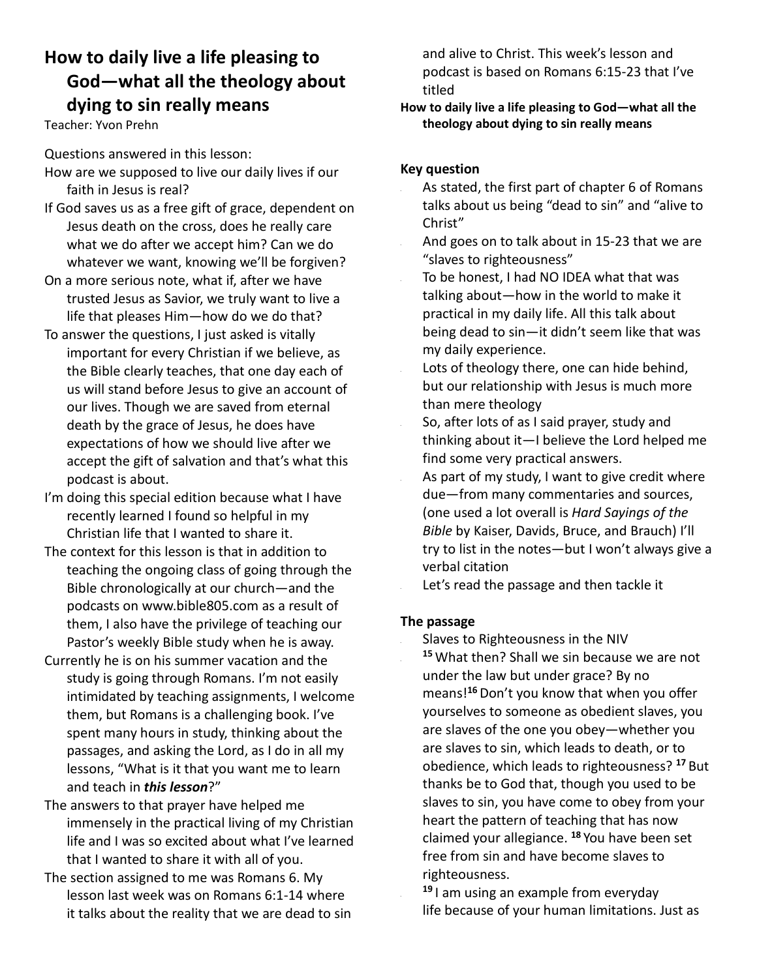# **How to daily live a life pleasing to God—what all the theology about dying to sin really means**

Teacher: Yvon Prehn

Questions answered in this lesson:

- How are we supposed to live our daily lives if our faith in Jesus is real?
- If God saves us as a free gift of grace, dependent on Jesus death on the cross, does he really care what we do after we accept him? Can we do whatever we want, knowing we'll be forgiven?
- On a more serious note, what if, after we have trusted Jesus as Savior, we truly want to live a life that pleases Him—how do we do that?
- To answer the questions, I just asked is vitally important for every Christian if we believe, as the Bible clearly teaches, that one day each of us will stand before Jesus to give an account of our lives. Though we are saved from eternal death by the grace of Jesus, he does have expectations of how we should live after we accept the gift of salvation and that's what this podcast is about.
- I'm doing this special edition because what I have recently learned I found so helpful in my Christian life that I wanted to share it.
- The context for this lesson is that in addition to teaching the ongoing class of going through the Bible chronologically at our church—and the podcasts on www.bible805.com as a result of them, I also have the privilege of teaching our Pastor's weekly Bible study when he is away.
- Currently he is on his summer vacation and the study is going through Romans. I'm not easily intimidated by teaching assignments, I welcome them, but Romans is a challenging book. I've spent many hours in study, thinking about the passages, and asking the Lord, as I do in all my lessons, "What is it that you want me to learn and teach in *this lesson*?"
- The answers to that prayer have helped me immensely in the practical living of my Christian life and I was so excited about what I've learned that I wanted to share it with all of you.
- The section assigned to me was Romans 6. My lesson last week was on Romans 6:1-14 where it talks about the reality that we are dead to sin

and alive to Christ. This week's lesson and podcast is based on Romans 6:15-23 that I've titled

### **How to daily live a life pleasing to God—what all the theology about dying to sin really means**

## **Key question**

- As stated, the first part of chapter 6 of Romans talks about us being "dead to sin" and "alive to Christ"
- And goes on to talk about in 15-23 that we are "slaves to righteousness"
- To be honest, I had NO IDEA what that was talking about—how in the world to make it practical in my daily life. All this talk about being dead to sin—it didn't seem like that was my daily experience.
- Lots of theology there, one can hide behind, but our relationship with Jesus is much more than mere theology
- So, after lots of as I said prayer, study and thinking about it—I believe the Lord helped me find some very practical answers.
- As part of my study, I want to give credit where due—from many commentaries and sources, (one used a lot overall is *Hard Sayings of the Bible* by Kaiser, Davids, Bruce, and Brauch) I'll try to list in the notes—but I won't always give a verbal citation

Let's read the passage and then tackle it

### **The passage**

- Slaves to Righteousness in the NIV **<sup>15</sup>** What then? Shall we sin because we are not under the law but under grace? By no means!**<sup>16</sup>**Don't you know that when you offer yourselves to someone as obedient slaves, you are slaves of the one you obey—whether you are slaves to sin, which leads to death, or to obedience, which leads to righteousness? **<sup>17</sup>** But thanks be to God that, though you used to be slaves to sin, you have come to obey from your heart the pattern of teaching that has now claimed your allegiance. **<sup>18</sup>** You have been set free from sin and have become slaves to righteousness.
- **<sup>19</sup>** I am using an example from everyday life because of your human limitations. Just as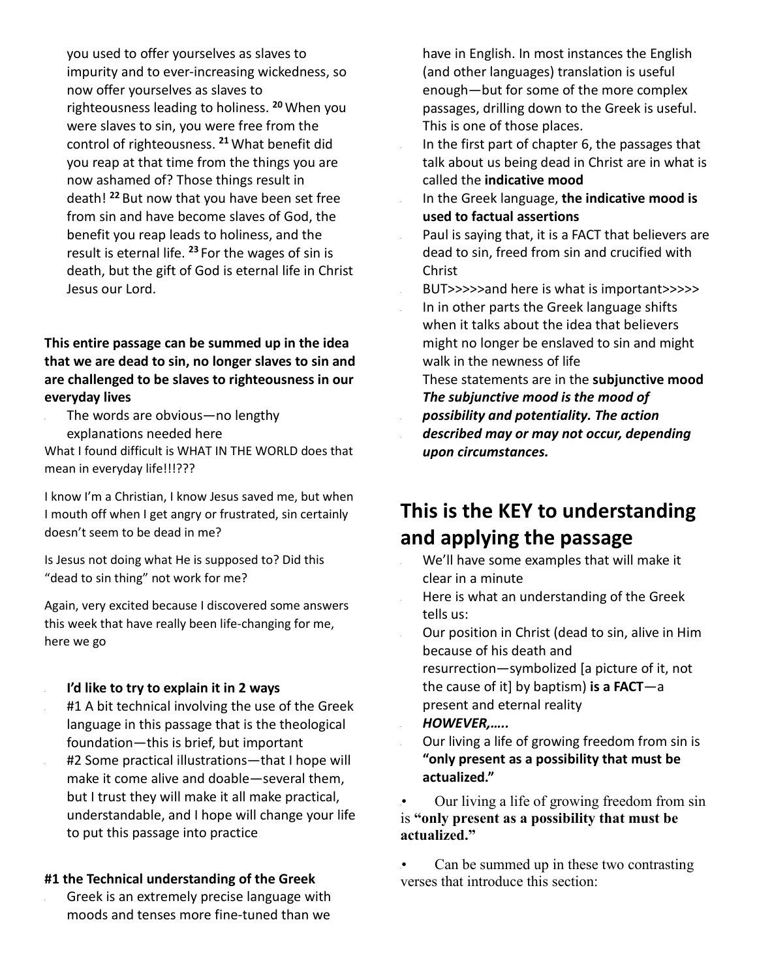you used to offer yourselves as slaves to impurity and to ever-increasing wickedness, so now offer yourselves as slaves to righteousness leading to holiness. **<sup>20</sup>** When you were slaves to sin, you were free from the control of righteousness. **<sup>21</sup>** What benefit did you reap at that time from the things you are now ashamed of? Those things result in death! **<sup>22</sup>** But now that you have been set free from sin and have become slaves of God, the benefit you reap leads to holiness, and the result is eternal life. **<sup>23</sup>** For the wages of sin is death, but the gift of God is eternal life in Christ Jesus our Lord.

## **This entire passage can be summed up in the idea that we are dead to sin, no longer slaves to sin and are challenged to be slaves to righteousness in our everyday lives**

The words are obvious—no lengthy explanations needed here

What I found difficult is WHAT IN THE WORLD does that mean in everyday life!!!???

I know I'm a Christian, I know Jesus saved me, but when I mouth off when I get angry or frustrated, sin certainly doesn't seem to be dead in me?

Is Jesus not doing what He is supposed to? Did this "dead to sin thing" not work for me?

Again, very excited because I discovered some answers this week that have really been life-changing for me, here we go

- **I'd like to try to explain it in 2 ways**
- #1 A bit technical involving the use of the Greek language in this passage that is the theological foundation—this is brief, but important
- #2 Some practical illustrations—that I hope will make it come alive and doable—several them, but I trust they will make it all make practical, understandable, and I hope will change your life to put this passage into practice

#### **#1 the Technical understanding of the Greek**

• Greek is an extremely precise language with moods and tenses more fine-tuned than we

have in English. In most instances the English (and other languages) translation is useful enough—but for some of the more complex passages, drilling down to the Greek is useful. This is one of those places.

In the first part of chapter 6, the passages that talk about us being dead in Christ are in what is called the **indicative mood**

In the Greek language, **the indicative mood is used to factual assertions**

Paul is saying that, it is a FACT that believers are dead to sin, freed from sin and crucified with Christ

BUT>>>>>and here is what is important>>>>> In in other parts the Greek language shifts when it talks about the idea that believers might no longer be enslaved to sin and might walk in the newness of life

These statements are in the **subjunctive mood**  *The subjunctive mood is the mood of possibility and potentiality. The action described may or may not occur, depending upon circumstances.* 

# **This is the KEY to understanding and applying the passage**

- We'll have some examples that will make it clear in a minute
- Here is what an understanding of the Greek tells us:
- Our position in Christ (dead to sin, alive in Him because of his death and

resurrection—symbolized [a picture of it, not the cause of it] by baptism) **is a FACT**—a present and eternal reality

- *HOWEVER,…..*
- Our living a life of growing freedom from sin is **"only present as a possibility that must be actualized."**

Our living a life of growing freedom from sin is **"only present as a possibility that must be actualized."**

Can be summed up in these two contrasting verses that introduce this section: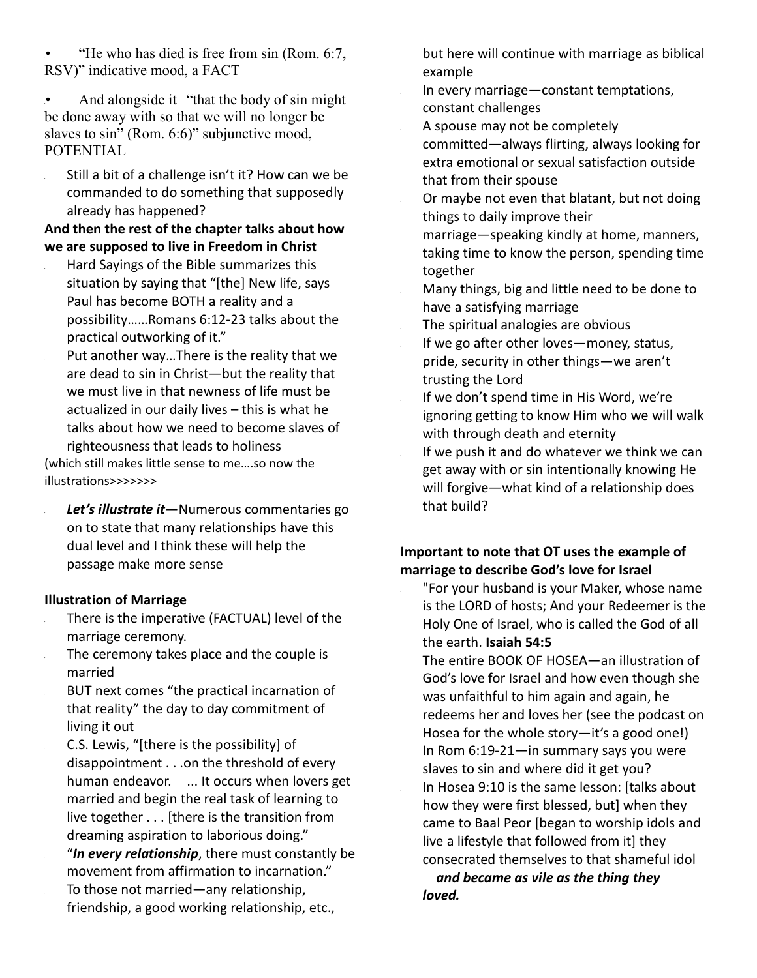•• "He who has died is free from sin (Rom. 6:7, RSV)" indicative mood, a FACT

And alongside it "that the body of sin might" be done away with so that we will no longer be slaves to sin" (Rom. 6:6)" subjunctive mood, POTENTIAL

Still a bit of a challenge isn't it? How can we be commanded to do something that supposedly already has happened?

**And then the rest of the chapter talks about how we are supposed to live in Freedom in Christ**

- Hard Sayings of the Bible summarizes this situation by saying that "[the] New life, says Paul has become BOTH a reality and a possibility……Romans 6:12-23 talks about the practical outworking of it."
- Put another way...There is the reality that we are dead to sin in Christ—but the reality that we must live in that newness of life must be actualized in our daily lives – this is what he talks about how we need to become slaves of righteousness that leads to holiness

(which still makes little sense to me….so now the illustrations>>>>>>>

• *Let's illustrate it*—Numerous commentaries go on to state that many relationships have this dual level and I think these will help the passage make more sense

#### **Illustration of Marriage**

- There is the imperative (FACTUAL) level of the marriage ceremony.
- The ceremony takes place and the couple is married
- BUT next comes "the practical incarnation of that reality" the day to day commitment of living it out
- C.S. Lewis, "[there is the possibility] of disappointment . . .on the threshold of every human endeavor. ... It occurs when lovers get married and begin the real task of learning to live together . . . [there is the transition from dreaming aspiration to laborious doing."
- "*In every relationship*, there must constantly be movement from affirmation to incarnation." • To those not married—any relationship, friendship, a good working relationship, etc.,

but here will continue with marriage as biblical example

- In every marriage—constant temptations, constant challenges
- A spouse may not be completely committed—always flirting, always looking for extra emotional or sexual satisfaction outside that from their spouse
- Or maybe not even that blatant, but not doing things to daily improve their
- marriage—speaking kindly at home, manners, taking time to know the person, spending time together
- Many things, big and little need to be done to have a satisfying marriage

The spiritual analogies are obvious

- If we go after other loves—money, status, pride, security in other things—we aren't trusting the Lord
- If we don't spend time in His Word, we're ignoring getting to know Him who we will walk with through death and eternity
- If we push it and do whatever we think we can get away with or sin intentionally knowing He will forgive—what kind of a relationship does that build?

## **Important to note that OT uses the example of marriage to describe God's love for Israel**

• "For your husband is your Maker, whose name is the LORD of hosts; And your Redeemer is the Holy One of Israel, who is called the God of all the earth. **Isaiah 54:5** 

• The entire BOOK OF HOSEA—an illustration of God's love for Israel and how even though she was unfaithful to him again and again, he redeems her and loves her (see the podcast on Hosea for the whole story—it's a good one!) • In Rom 6:19-21—in summary says you were slaves to sin and where did it get you? In Hosea 9:10 is the same lesson: [talks about how they were first blessed, but] when they came to Baal Peor [began to worship idols and live a lifestyle that followed from it] they consecrated themselves to that shameful idol

 *and became as vile as the thing they loved.*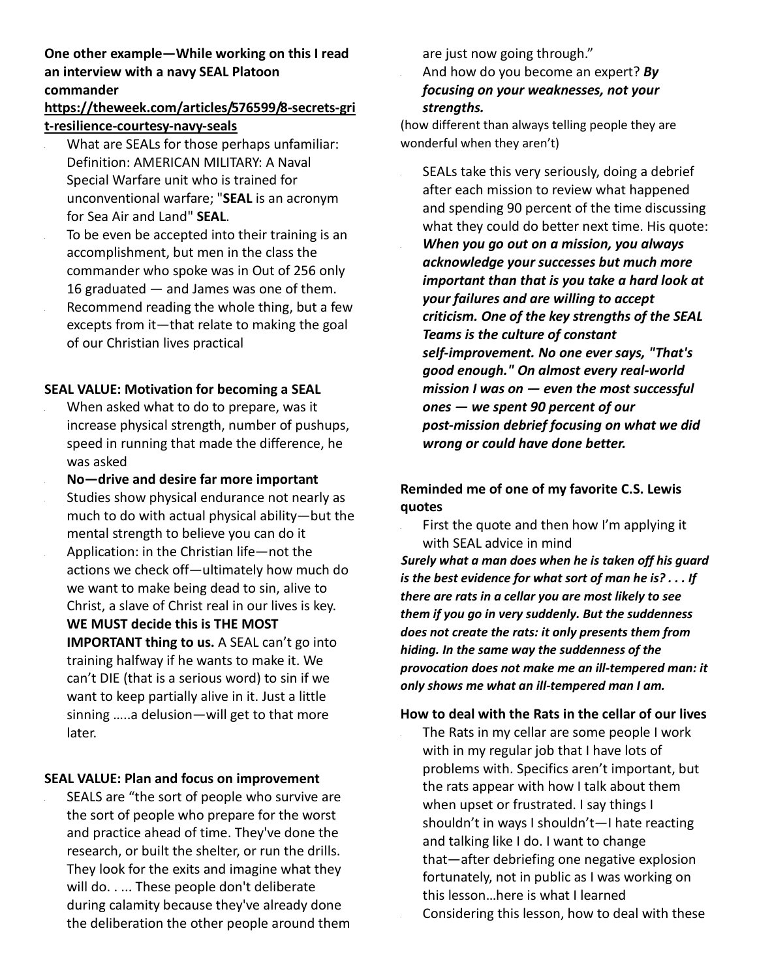## **One other example—While working on this I read an interview with a navy SEAL Platoon commander**

## **https://theweek.com/articles/576599/8-secrets-gri t-resilience-courtesy-navy-seals**

- What are SEALs for those perhaps unfamiliar: Definition: AMERICAN MILITARY: A Naval Special Warfare unit who is trained for unconventional warfare; "**SEAL** is an acronym for Sea Air and Land" **SEAL**.
- To be even be accepted into their training is an accomplishment, but men in the class the commander who spoke was in Out of 256 only 16 graduated — and James was one of them. Recommend reading the whole thing, but a few excepts from it—that relate to making the goal of our Christian lives practical

#### **SEAL VALUE: Motivation for becoming a SEAL**

- When asked what to do to prepare, was it increase physical strength, number of pushups, speed in running that made the difference, he was asked
- **No—drive and desire far more important** Studies show physical endurance not nearly as much to do with actual physical ability—but the mental strength to believe you can do it • Application: in the Christian life—not the actions we check off—ultimately how much do we want to make being dead to sin, alive to Christ, a slave of Christ real in our lives is key. **WE MUST decide this is THE MOST IMPORTANT thing to us.** A SEAL can't go into training halfway if he wants to make it. We can't DIE (that is a serious word) to sin if we want to keep partially alive in it. Just a little sinning …..a delusion—will get to that more later.

### **SEAL VALUE: Plan and focus on improvement**

SEALS are "the sort of people who survive are the sort of people who prepare for the worst and practice ahead of time. They've done the research, or built the shelter, or run the drills. They look for the exits and imagine what they will do. . ... These people don't deliberate during calamity because they've already done the deliberation the other people around them are just now going through."

• And how do you become an expert? *By focusing on your weaknesses, not your strengths.*

(how different than always telling people they are wonderful when they aren't)

SEALs take this very seriously, doing a debrief after each mission to review what happened and spending 90 percent of the time discussing what they could do better next time. His quote: • *When you go out on a mission, you always acknowledge your successes but much more important than that is you take a hard look at your failures and are willing to accept criticism. One of the key strengths of the SEAL Teams is the culture of constant self-improvement. No one ever says, "That's good enough." On almost every real-world mission I was on — even the most successful ones — we spent 90 percent of our post-mission debrief focusing on what we did wrong or could have done better.*

# **Reminded me of one of my favorite C.S. Lewis quotes**

• First the quote and then how I'm applying it with SEAL advice in mind •*Surely what a man does when he is taken off his guard is the best evidence for what sort of man he is? . . . If there are rats in a cellar you are most likely to see them if you go in very suddenly. But the suddenness does not create the rats: it only presents them from hiding. In the same way the suddenness of the provocation does not make me an ill-tempered man: it only shows me what an ill-tempered man I am.* 

### **How to deal with the Rats in the cellar of our lives**

The Rats in my cellar are some people I work with in my regular job that I have lots of problems with. Specifics aren't important, but the rats appear with how I talk about them when upset or frustrated. I say things I shouldn't in ways I shouldn't—I hate reacting and talking like I do. I want to change that—after debriefing one negative explosion fortunately, not in public as I was working on this lesson…here is what I learned Considering this lesson, how to deal with these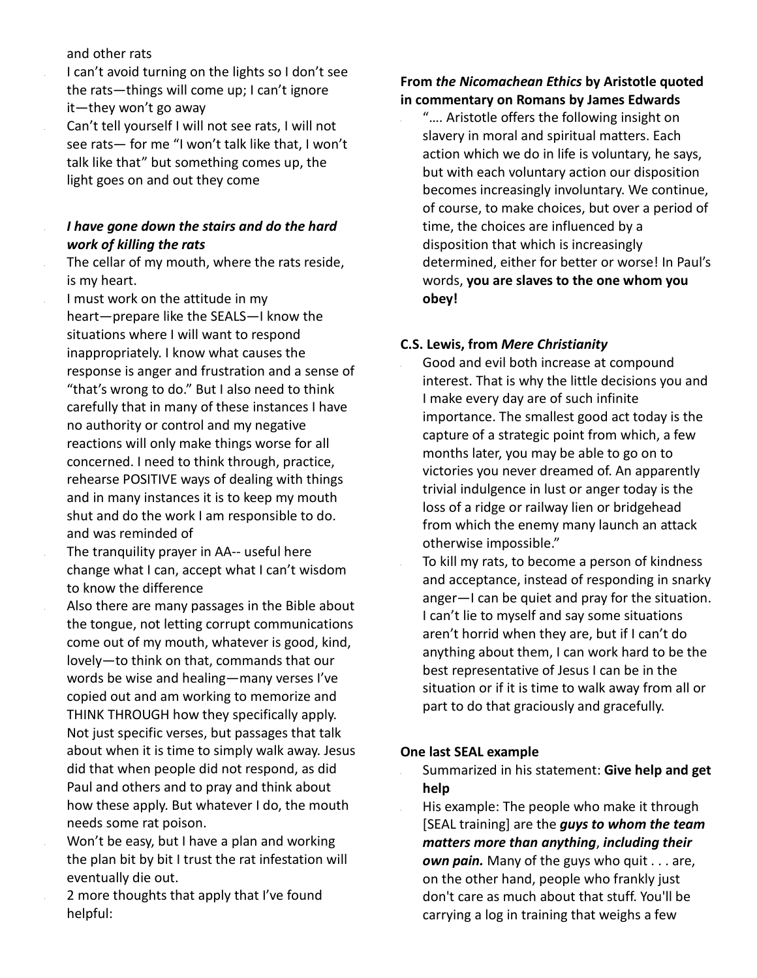#### and other rats

• I can't avoid turning on the lights so I don't see the rats—things will come up; I can't ignore it—they won't go away

• Can't tell yourself I will not see rats, I will not see rats— for me "I won't talk like that, I won't talk like that" but something comes up, the light goes on and out they come

## • *I have gone down the stairs and do the hard work of killing the rats*

The cellar of my mouth, where the rats reside, is my heart.

I must work on the attitude in my heart—prepare like the SEALS—I know the situations where I will want to respond inappropriately. I know what causes the response is anger and frustration and a sense of "that's wrong to do." But I also need to think carefully that in many of these instances I have no authority or control and my negative reactions will only make things worse for all concerned. I need to think through, practice, rehearse POSITIVE ways of dealing with things and in many instances it is to keep my mouth shut and do the work I am responsible to do. and was reminded of

The tranquility prayer in AA-- useful here change what I can, accept what I can't wisdom to know the difference

• Also there are many passages in the Bible about the tongue, not letting corrupt communications come out of my mouth, whatever is good, kind, lovely—to think on that, commands that our words be wise and healing—many verses I've copied out and am working to memorize and THINK THROUGH how they specifically apply. Not just specific verses, but passages that talk about when it is time to simply walk away. Jesus did that when people did not respond, as did Paul and others and to pray and think about how these apply. But whatever I do, the mouth needs some rat poison.

• Won't be easy, but I have a plan and working the plan bit by bit I trust the rat infestation will eventually die out.

• 2 more thoughts that apply that I've found helpful:

## **From** *the Nicomachean Ethics* **by Aristotle quoted in commentary on Romans by James Edwards**

• "…. Aristotle offers the following insight on slavery in moral and spiritual matters. Each action which we do in life is voluntary, he says, but with each voluntary action our disposition becomes increasingly involuntary. We continue, of course, to make choices, but over a period of time, the choices are influenced by a disposition that which is increasingly determined, either for better or worse! In Paul's words, **you are slaves to the one whom you obey!**

#### **C.S. Lewis, from** *Mere Christianity*

• Good and evil both increase at compound interest. That is why the little decisions you and I make every day are of such infinite importance. The smallest good act today is the capture of a strategic point from which, a few months later, you may be able to go on to victories you never dreamed of. An apparently trivial indulgence in lust or anger today is the loss of a ridge or railway lien or bridgehead from which the enemy many launch an attack otherwise impossible."

To kill my rats, to become a person of kindness and acceptance, instead of responding in snarky anger—I can be quiet and pray for the situation. I can't lie to myself and say some situations aren't horrid when they are, but if I can't do anything about them, I can work hard to be the best representative of Jesus I can be in the situation or if it is time to walk away from all or part to do that graciously and gracefully.

#### **One last SEAL example**

• Summarized in his statement: **Give help and get help**

• His example: The people who make it through [SEAL training] are the *guys to whom the team matters more than anything*, *including their own pain.* Many of the guys who quit . . . are, on the other hand, people who frankly just don't care as much about that stuff. You'll be carrying a log in training that weighs a few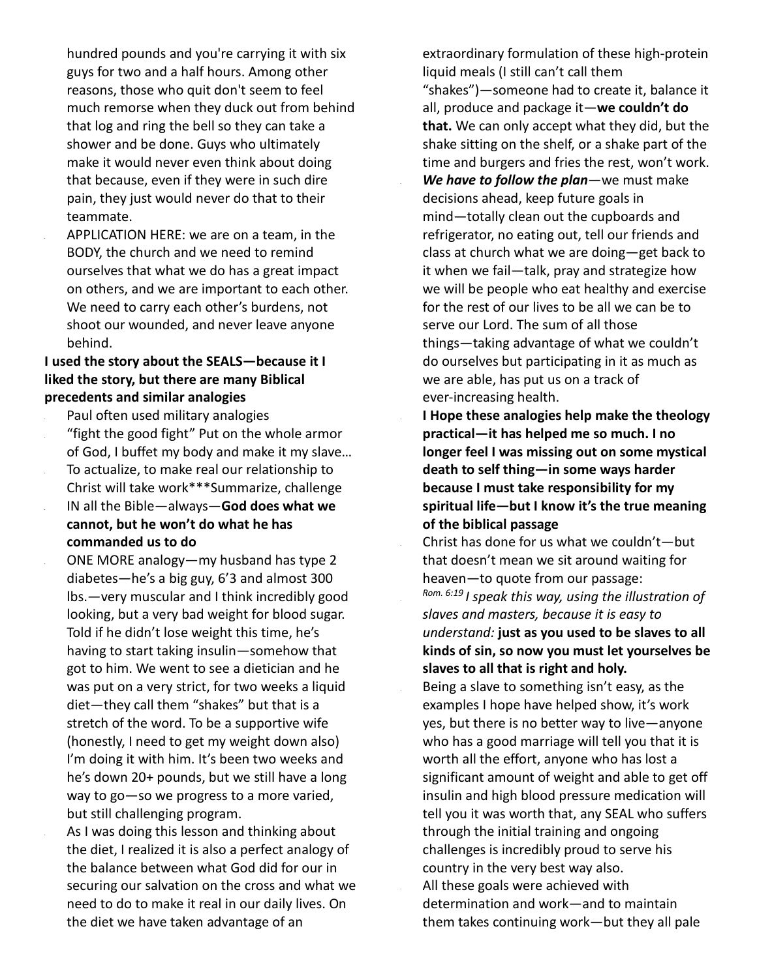hundred pounds and you're carrying it with six guys for two and a half hours. Among other reasons, those who quit don't seem to feel much remorse when they duck out from behind that log and ring the bell so they can take a shower and be done. Guys who ultimately make it would never even think about doing that because, even if they were in such dire pain, they just would never do that to their teammate.

• APPLICATION HERE: we are on a team, in the BODY, the church and we need to remind ourselves that what we do has a great impact on others, and we are important to each other. We need to carry each other's burdens, not shoot our wounded, and never leave anyone behind.

## **I used the story about the SEALS—because it I liked the story, but there are many Biblical precedents and similar analogies**

• Paul often used military analogies • "fight the good fight" Put on the whole armor of God, I buffet my body and make it my slave… • To actualize, to make real our relationship to Christ will take work\*\*\*Summarize, challenge • IN all the Bible—always—**God does what we cannot, but he won't do what he has commanded us to do**

• ONE MORE analogy—my husband has type 2 diabetes—he's a big guy, 6'3 and almost 300 lbs.—very muscular and I think incredibly good looking, but a very bad weight for blood sugar. Told if he didn't lose weight this time, he's having to start taking insulin—somehow that got to him. We went to see a dietician and he was put on a very strict, for two weeks a liquid diet—they call them "shakes" but that is a stretch of the word. To be a supportive wife (honestly, I need to get my weight down also) I'm doing it with him. It's been two weeks and he's down 20+ pounds, but we still have a long way to go—so we progress to a more varied, but still challenging program.

As I was doing this lesson and thinking about the diet, I realized it is also a perfect analogy of the balance between what God did for our in securing our salvation on the cross and what we need to do to make it real in our daily lives. On the diet we have taken advantage of an

extraordinary formulation of these high-protein liquid meals (I still can't call them

"shakes")—someone had to create it, balance it all, produce and package it—**we couldn't do that.** We can only accept what they did, but the shake sitting on the shelf, or a shake part of the time and burgers and fries the rest, won't work. • *We have to follow the plan*—we must make decisions ahead, keep future goals in mind—totally clean out the cupboards and refrigerator, no eating out, tell our friends and class at church what we are doing—get back to it when we fail—talk, pray and strategize how we will be people who eat healthy and exercise for the rest of our lives to be all we can be to serve our Lord. The sum of all those things—taking advantage of what we couldn't do ourselves but participating in it as much as we are able, has put us on a track of ever-increasing health.

• **I Hope these analogies help make the theology practical—it has helped me so much. I no longer feel I was missing out on some mystical death to self thing—in some ways harder because I must take responsibility for my spiritual life—but I know it's the true meaning of the biblical passage**

• Christ has done for us what we couldn't—but that doesn't mean we sit around waiting for heaven—to quote from our passage: *Rom. 6:19 I speak this way, using the illustration of slaves and masters, because it is easy to understand:* **just as you used to be slaves to all kinds of sin, so now you must let yourselves be slaves to all that is right and holy.**

Being a slave to something isn't easy, as the examples I hope have helped show, it's work yes, but there is no better way to live—anyone who has a good marriage will tell you that it is worth all the effort, anyone who has lost a significant amount of weight and able to get off insulin and high blood pressure medication will tell you it was worth that, any SEAL who suffers through the initial training and ongoing challenges is incredibly proud to serve his country in the very best way also. All these goals were achieved with determination and work—and to maintain them takes continuing work—but they all pale